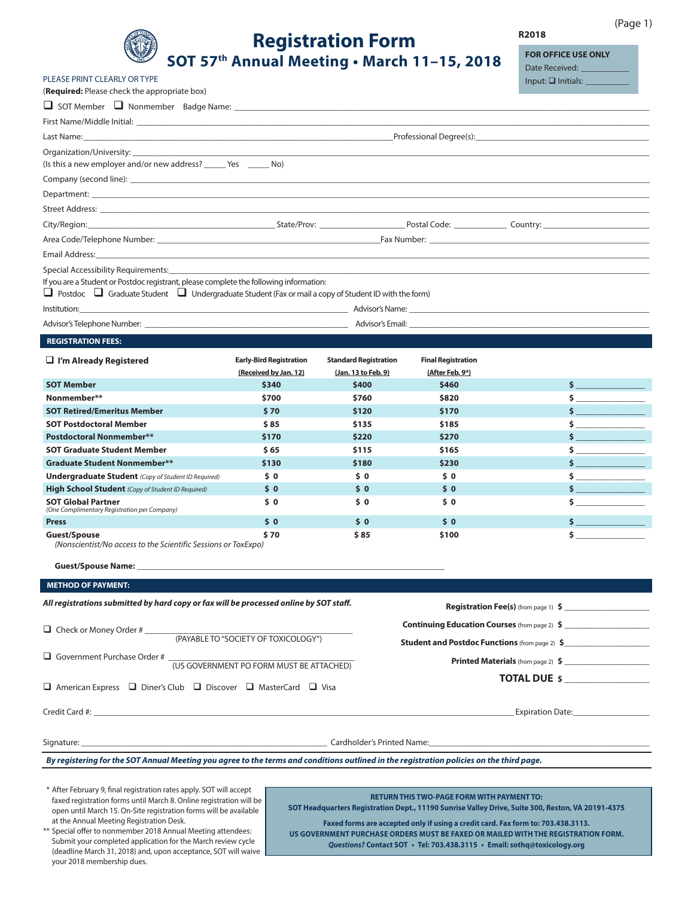

PLEASE PRINT CLEARLY OR TYPE

# **Registration Form** SOT 57th Annual Meeting . March 11-15, 2018

R2018

 $(Page 1)$ 

**FOR OFFICE USE ONLY** Date Received: Input:  $\square$  Initials:

**S** 

ś

\$

Ś

Ś

\$

Ś

Ś

| (Required: Please check the appropriate box)                                                                                                                                                                                   |                                                                                                                                                                                                                                |                              |                           |  |                                            |  |  |  |  |
|--------------------------------------------------------------------------------------------------------------------------------------------------------------------------------------------------------------------------------|--------------------------------------------------------------------------------------------------------------------------------------------------------------------------------------------------------------------------------|------------------------------|---------------------------|--|--------------------------------------------|--|--|--|--|
|                                                                                                                                                                                                                                |                                                                                                                                                                                                                                |                              |                           |  |                                            |  |  |  |  |
|                                                                                                                                                                                                                                |                                                                                                                                                                                                                                |                              |                           |  |                                            |  |  |  |  |
|                                                                                                                                                                                                                                | Professional Degree(s): 2008 2009 2010 2021 2022 2023 2024 2022 2023 2024 2022 2023 2024 2022 2023 2024 2022 20                                                                                                                |                              |                           |  |                                            |  |  |  |  |
| Organization/University: the contract of the contract of the contract of the contract of the contract of the contract of the contract of the contract of the contract of the contract of the contract of the contract of the c |                                                                                                                                                                                                                                |                              |                           |  |                                            |  |  |  |  |
| (Is this a new employer and/or new address? _______ Yes ________ No)                                                                                                                                                           |                                                                                                                                                                                                                                |                              |                           |  |                                            |  |  |  |  |
|                                                                                                                                                                                                                                |                                                                                                                                                                                                                                |                              |                           |  |                                            |  |  |  |  |
|                                                                                                                                                                                                                                |                                                                                                                                                                                                                                |                              |                           |  |                                            |  |  |  |  |
|                                                                                                                                                                                                                                |                                                                                                                                                                                                                                |                              |                           |  |                                            |  |  |  |  |
|                                                                                                                                                                                                                                | City/Region: City/Region: City/Region: Country: Country: Country: Country: City/Region: Country: City/Region: Country: Country: Country: Country: Country: Country: Country: Country: Country: Country: Country: Country: Coun |                              |                           |  |                                            |  |  |  |  |
|                                                                                                                                                                                                                                | Fax Number: National Accounts and Accounts and Accounts and Accounts and Accounts and Accounts and Accounts and                                                                                                                |                              |                           |  |                                            |  |  |  |  |
|                                                                                                                                                                                                                                |                                                                                                                                                                                                                                |                              |                           |  |                                            |  |  |  |  |
| Special Accessibility Requirements: The contract of the contract of the contract of the contract of the contract of the contract of the contract of the contract of the contract of the contract of the contract of the contra |                                                                                                                                                                                                                                |                              |                           |  |                                            |  |  |  |  |
| If you are a Student or Postdoc registrant, please complete the following information:                                                                                                                                         |                                                                                                                                                                                                                                |                              |                           |  |                                            |  |  |  |  |
| $\Box$ Postdoc $\Box$ Graduate Student $\Box$ Undergraduate Student (Fax or mail a copy of Student ID with the form)                                                                                                           |                                                                                                                                                                                                                                |                              |                           |  |                                            |  |  |  |  |
|                                                                                                                                                                                                                                |                                                                                                                                                                                                                                |                              |                           |  |                                            |  |  |  |  |
|                                                                                                                                                                                                                                |                                                                                                                                                                                                                                |                              |                           |  |                                            |  |  |  |  |
| <b>REGISTRATION FEES:</b>                                                                                                                                                                                                      |                                                                                                                                                                                                                                |                              |                           |  |                                            |  |  |  |  |
| $\Box$ I'm Already Registered                                                                                                                                                                                                  | <b>Early-Bird Registration</b>                                                                                                                                                                                                 | <b>Standard Registration</b> | <b>Final Registration</b> |  |                                            |  |  |  |  |
|                                                                                                                                                                                                                                | (Received by Jan. 12)                                                                                                                                                                                                          | (Jan. 13 to Feb. 9)          | (After Feb. 9*)           |  |                                            |  |  |  |  |
| <b>SOT Member</b>                                                                                                                                                                                                              | \$340                                                                                                                                                                                                                          | \$400                        | \$460                     |  |                                            |  |  |  |  |
| Nonmember**                                                                                                                                                                                                                    | \$700                                                                                                                                                                                                                          | \$760                        | \$820                     |  | $\sim$                                     |  |  |  |  |
| <b>SOT Retired/Emeritus Member</b>                                                                                                                                                                                             | \$70                                                                                                                                                                                                                           | \$120                        | \$170                     |  | $\mathsf{S}$ and the state of $\mathsf{S}$ |  |  |  |  |
| <b>SOT Postdoctoral Member</b>                                                                                                                                                                                                 | \$85                                                                                                                                                                                                                           | \$135                        | \$185                     |  |                                            |  |  |  |  |

\$220

\$115

\$180

 $50$ 

 $\dot{\mathsf{s}}$  0

 $$0$ 

 $$0$ 

 $$85$ 

**Guest/Spouse Name: METHOD OF PAYMENT:** 

**SOT Global Partner** 

Guest/Spouse

**Press** 

**Postdoctoral Nonmember\*\*** 

**SOT Graduate Student Member** 

**Graduate Student Nonmember\*\*** 

(One Complimentary Registration per Company)

**Undergraduate Student** (Copy of Student ID Required)

(Nonscientist/No access to the Scientific Sessions or ToxExpo)

High School Student (Copy of Student ID Required)

All registrations submitted by hard copy or fax will be processed online by SOT staff.

| $\Box$ Check or Money Order #<br>(PAYABLE TO "SOCIETY OF TOXICOLOGY")                     | <b>Continuing Education Courses</b> (from page 2) \$<br><b>Student and Postdoc Functions</b> (from page 2) \$ |  |  |
|-------------------------------------------------------------------------------------------|---------------------------------------------------------------------------------------------------------------|--|--|
| $\Box$ Government Purchase Order #<br>(US GOVERNMENT PO FORM MUST BE ATTACHED)            | <b>Printed Materials</b> (from page 2) \$                                                                     |  |  |
| $\Box$ American Express $\Box$ Diner's Club $\Box$ Discover $\Box$ MasterCard $\Box$ Visa | <b>TOTAL DUE S</b>                                                                                            |  |  |
|                                                                                           | <b>Expiration Date:</b>                                                                                       |  |  |

Signature:

Cardholder's Printed Name:

By registering for the SOT Annual Meeting you agree to the terms and conditions outlined in the registration policies on the third page.

\$170

 $$65$ 

\$130

 $50$ 

 $50$ 

 $$0$ 

 $$0$ 

\$70

\* After February 9, final registration rates apply. SOT will accept faxed registration forms until March 8. Online registration will be open until March 15. On-Site registration forms will be available at the Annual Meeting Registration Desk.

**RETURN THIS TWO-PAGE FORM WITH PAYMENT TO:** SOT Headquarters Registration Dept., 11190 Sunrise Valley Drive, Suite 300, Reston, VA 20191-4375

\$270

\$165

\$230

 $50$ 

 $50$ 

 $\boldsymbol{\mathsf{S}}$  0

 $$0$ 

\$100

Registration Fee(s) (from page 1) \$

\*\* Special offer to nonmember 2018 Annual Meeting attendees: Submit your completed application for the March review cycle (deadline March 31, 2018) and, upon acceptance, SOT will waive your 2018 membership dues.

Faxed forms are accepted only if using a credit card. Fax form to: 703.438.3113. US GOVERNMENT PURCHASE ORDERS MUST BE FAXED OR MAILED WITH THE REGISTRATION FORM. Questions? Contact SOT · Tel: 703.438.3115 · Email: sothq@toxicology.org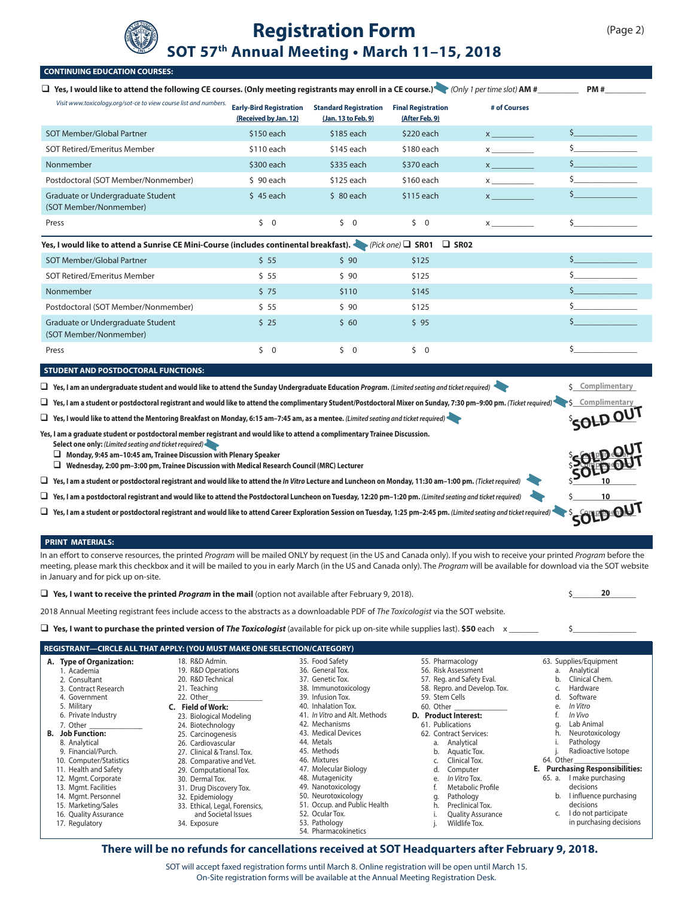

# **Registration Form SOT 57th Annual Meeting • March 11–15, 2018**

| <b>CONTINUING EDUCATION COURSES:</b>                                                                                                                                                                                                                                                                                                                     |                                                         |                                                      |                                             |                                                             |                                           |  |  |  |
|----------------------------------------------------------------------------------------------------------------------------------------------------------------------------------------------------------------------------------------------------------------------------------------------------------------------------------------------------------|---------------------------------------------------------|------------------------------------------------------|---------------------------------------------|-------------------------------------------------------------|-------------------------------------------|--|--|--|
| □ Yes, I would like to attend the following CE courses. (Only meeting registrants may enroll in a CE course.) (Only 1 per time slot) AM #__________<br>PM#                                                                                                                                                                                               |                                                         |                                                      |                                             |                                                             |                                           |  |  |  |
| Visit www.toxicology.org/sot-ce to view course list and numbers.                                                                                                                                                                                                                                                                                         | <b>Early-Bird Registration</b><br>(Received by Jan. 12) | <b>Standard Registration</b><br>(Jan. 13 to Feb. 9)  | <b>Final Registration</b><br>(After Feb. 9) | # of Courses                                                |                                           |  |  |  |
| SOT Member/Global Partner                                                                                                                                                                                                                                                                                                                                | \$150 each                                              | $$185$ each                                          | \$220 each                                  | $\mathsf{X}$ and $\mathsf{X}$                               | \$                                        |  |  |  |
| <b>SOT Retired/Emeritus Member</b>                                                                                                                                                                                                                                                                                                                       | \$110 each                                              | \$145 each                                           | \$180 each                                  | $x \sim$                                                    | Ś                                         |  |  |  |
| Nonmember                                                                                                                                                                                                                                                                                                                                                | \$300 each                                              | \$335 each                                           | \$370 each                                  | $\mathbf x$ and $\mathbf x$ and $\mathbf x$ and $\mathbf x$ | Ś.                                        |  |  |  |
| Postdoctoral (SOT Member/Nonmember)                                                                                                                                                                                                                                                                                                                      | $$90$ each                                              | \$125 each                                           | \$160 each                                  | $x \sim$                                                    |                                           |  |  |  |
| Graduate or Undergraduate Student<br>(SOT Member/Nonmember)                                                                                                                                                                                                                                                                                              | $$45$ each                                              | $$80$ each                                           | \$115 each                                  | $\mathsf{X}$ and $\mathsf{X}$ are the set of $\mathsf{X}$   | \$                                        |  |  |  |
| Press                                                                                                                                                                                                                                                                                                                                                    | $\zeta$ 0                                               | $\zeta$ 0                                            | $\zeta$ 0                                   | $\mathsf{X}$ and $\mathsf{X}$ are the set of $\mathsf{X}$   | Ś.                                        |  |  |  |
| Yes, I would like to attend a Sunrise CE Mini-Course (includes continental breakfast). «                                                                                                                                                                                                                                                                 |                                                         |                                                      | $(Pick one)$ SR01<br>$\Box$ SR02            |                                                             |                                           |  |  |  |
| SOT Member/Global Partner                                                                                                                                                                                                                                                                                                                                | \$55                                                    | \$90                                                 | \$125                                       |                                                             | Ś                                         |  |  |  |
| <b>SOT Retired/Emeritus Member</b>                                                                                                                                                                                                                                                                                                                       | \$55                                                    | \$90                                                 | \$125                                       |                                                             | Ś                                         |  |  |  |
| Nonmember                                                                                                                                                                                                                                                                                                                                                | \$75                                                    | \$110                                                | \$145                                       |                                                             |                                           |  |  |  |
| Postdoctoral (SOT Member/Nonmember)                                                                                                                                                                                                                                                                                                                      | \$55                                                    | \$90                                                 | \$125                                       |                                                             | Ś.                                        |  |  |  |
| Graduate or Undergraduate Student                                                                                                                                                                                                                                                                                                                        | \$25                                                    | \$60                                                 | \$95                                        |                                                             | Ś                                         |  |  |  |
| (SOT Member/Nonmember)                                                                                                                                                                                                                                                                                                                                   |                                                         |                                                      |                                             |                                                             |                                           |  |  |  |
| Press                                                                                                                                                                                                                                                                                                                                                    | $\begin{matrix} 5 & 0 \end{matrix}$                     | $\zeta$ 0                                            | $\begin{matrix} 5 & 0 \end{matrix}$         |                                                             | \$                                        |  |  |  |
| <b>STUDENT AND POSTDOCTORAL FUNCTIONS:</b>                                                                                                                                                                                                                                                                                                               |                                                         |                                                      |                                             |                                                             |                                           |  |  |  |
| □ Yes, I am an undergraduate student and would like to attend the Sunday Undergraduate Education Program. (Limited seating and ticket required)                                                                                                                                                                                                          |                                                         |                                                      |                                             |                                                             | <b>5</b> Complimentary                    |  |  |  |
| □ Yes, I am a student or postdoctoral registrant and would like to attend the complimentary Student/Postdoctoral Mixer on Sunday, 7:30 pm-9:00 pm. (Ticket required)                                                                                                                                                                                     |                                                         |                                                      |                                             |                                                             |                                           |  |  |  |
| □ Yes, I would like to attend the Mentoring Breakfast on Monday, 6:15 am-7:45 am, as a mentee. (Limited seating and ticket required)                                                                                                                                                                                                                     |                                                         |                                                      |                                             |                                                             | <b>SOLD OUT</b>                           |  |  |  |
| Yes, I am a graduate student or postdoctoral member registrant and would like to attend a complimentary Trainee Discussion.                                                                                                                                                                                                                              |                                                         |                                                      |                                             |                                                             |                                           |  |  |  |
| Select one only: (Limited seating and ticket required)<br>$\Box$ Monday, 9:45 am-10:45 am, Trainee Discussion with Plenary Speaker                                                                                                                                                                                                                       |                                                         |                                                      |                                             |                                                             |                                           |  |  |  |
| U Wednesday, 2:00 pm−3:00 pm, Trainee Discussion with Medical Research Council (MRC) Lecturer                                                                                                                                                                                                                                                            |                                                         |                                                      |                                             |                                                             |                                           |  |  |  |
| □ Yes, I am a student or postdoctoral registrant and would like to attend the In Vitro Lecture and Luncheon on Monday, 11:30 am-1:00 pm. (Ticket required)                                                                                                                                                                                               |                                                         |                                                      |                                             |                                                             | 10                                        |  |  |  |
| $\Box$ Yes, I am a postdoctoral registrant and would like to attend the Postdoctoral Luncheon on Tuesday, 12:20 pm-1:20 pm. (Limited seating and ticket required)                                                                                                                                                                                        |                                                         |                                                      |                                             |                                                             | 10                                        |  |  |  |
| □ Yes, I am a student or postdoctoral registrant and would like to attend Career Exploration Session on Tuesday, 1:25 pm-2:45 pm. (Limited seating and ticket required)                                                                                                                                                                                  |                                                         |                                                      |                                             |                                                             | SOLD OL                                   |  |  |  |
|                                                                                                                                                                                                                                                                                                                                                          |                                                         |                                                      |                                             |                                                             |                                           |  |  |  |
| <b>PRINT MATERIALS:</b>                                                                                                                                                                                                                                                                                                                                  |                                                         |                                                      |                                             |                                                             |                                           |  |  |  |
| In an effort to conserve resources, the printed Program will be mailed ONLY by request (in the US and Canada only). If you wish to receive your printed Program before the<br>meeting, please mark this checkbox and it will be mailed to you in early March (in the US and Canada only). The Program will be available for download via the SOT website |                                                         |                                                      |                                             |                                                             |                                           |  |  |  |
| in January and for pick up on-site.                                                                                                                                                                                                                                                                                                                      |                                                         |                                                      |                                             |                                                             | 20                                        |  |  |  |
| $\Box$ Yes, I want to receive the printed Program in the mail (option not available after February 9, 2018).<br>2018 Annual Meeting registrant fees include access to the abstracts as a downloadable PDF of The Toxicologist via the SOT website.                                                                                                       |                                                         |                                                      |                                             |                                                             |                                           |  |  |  |
|                                                                                                                                                                                                                                                                                                                                                          |                                                         |                                                      |                                             |                                                             | Ś                                         |  |  |  |
|                                                                                                                                                                                                                                                                                                                                                          |                                                         |                                                      |                                             |                                                             |                                           |  |  |  |
| REGISTRANT-CIRCLE ALL THAT APPLY: (YOU MUST MAKE ONE SELECTION/CATEGORY)<br>A. Type of Organization:<br>18. R&D Admin.                                                                                                                                                                                                                                   |                                                         | 35. Food Safety                                      | 55. Pharmacology                            |                                                             | 63. Supplies/Equipment                    |  |  |  |
| 19. R&D Operations<br>1. Academia                                                                                                                                                                                                                                                                                                                        |                                                         | 36. General Tox.                                     | 56. Risk Assessment                         |                                                             | Analytical<br>a.                          |  |  |  |
| 20. R&D Technical<br>2. Consultant<br>21. Teaching<br>3. Contract Research                                                                                                                                                                                                                                                                               |                                                         | 37. Genetic Tox.<br>38. Immunotoxicology             | 57. Reg. and Safety Eval.                   | 58. Repro. and Develop. Tox.                                | Clinical Chem.<br>b.<br>Hardware<br>c.    |  |  |  |
| 22. Other<br>4. Government                                                                                                                                                                                                                                                                                                                               |                                                         | 39. Infusion Tox.                                    | 59. Stem Cells                              |                                                             | Software<br>d.                            |  |  |  |
| 5. Military<br>C. Field of Work:<br>6. Private Industry<br>23. Biological Modeling                                                                                                                                                                                                                                                                       |                                                         | 40. Inhalation Tox.<br>41. In Vitro and Alt. Methods | 60. Other<br>D. Product Interest:           |                                                             | In Vitro<br>е.<br>In Vivo<br>f.           |  |  |  |
| 7. Other<br>24. Biotechnology                                                                                                                                                                                                                                                                                                                            |                                                         | 42. Mechanisms<br>43. Medical Devices                | 61. Publications                            |                                                             | Lab Animal<br>g.<br>Neurotoxicology<br>h. |  |  |  |
| <b>B.</b> Job Function:<br>25. Carcinogenesis<br>26. Cardiovascular<br>8. Analytical                                                                                                                                                                                                                                                                     |                                                         | 44. Metals                                           | 62. Contract Services:<br>Analytical<br>а.  |                                                             | i.<br>Pathology                           |  |  |  |
| 9. Financial/Purch.<br>27. Clinical & Transl. Tox.<br>10. Computer/Statistics<br>28. Comparative and Vet.                                                                                                                                                                                                                                                |                                                         | 45. Methods<br>46. Mixtures                          | b.<br>c.                                    | Aquatic Tox.<br>Clinical Tox.                               | Radioactive Isotope<br>j.<br>64. Other    |  |  |  |
| 11. Health and Safety<br>29. Computational Tox.                                                                                                                                                                                                                                                                                                          |                                                         | 47. Molecular Biology                                | d.                                          | Computer                                                    | <b>E.</b> Purchasing Responsibilities:    |  |  |  |
| 12. Mgmt. Corporate<br>30. Dermal Tox.<br>13. Mgmt. Facilities<br>31. Drug Discovery Tox.                                                                                                                                                                                                                                                                |                                                         | 48. Mutagenicity<br>49. Nanotoxicology               | e.<br>f.                                    | In Vitro Tox.<br>Metabolic Profile                          | 65. a. I make purchasing<br>decisions     |  |  |  |
| 14. Mgmt. Personnel<br>32. Epidemiology                                                                                                                                                                                                                                                                                                                  |                                                         | 50. Neurotoxicology                                  | g.                                          | Pathology                                                   | I influence purchasing<br>b.              |  |  |  |
| 15. Marketing/Sales<br>33. Ethical, Legal, Forensics,<br>16. Quality Assurance<br>and Societal Issues                                                                                                                                                                                                                                                    |                                                         | 51. Occup. and Public Health<br>52. Ocular Tox.      | h.<br>i.                                    | Preclinical Tox.<br><b>Quality Assurance</b>                | decisions<br>I do not participate<br>C.   |  |  |  |
| 17. Regulatory<br>34. Exposure                                                                                                                                                                                                                                                                                                                           |                                                         | 53. Pathology<br>54. Pharmacokinetics                | j.                                          | Wildlife Tox.                                               | in purchasing decisions                   |  |  |  |

#### **There will be no refunds for cancellations received at SOT Headquarters after February 9, 2018.**

SOT will accept faxed registration forms until March 8. Online registration will be open until March 15. On-Site registration forms will be available at the Annual Meeting Registration Desk.